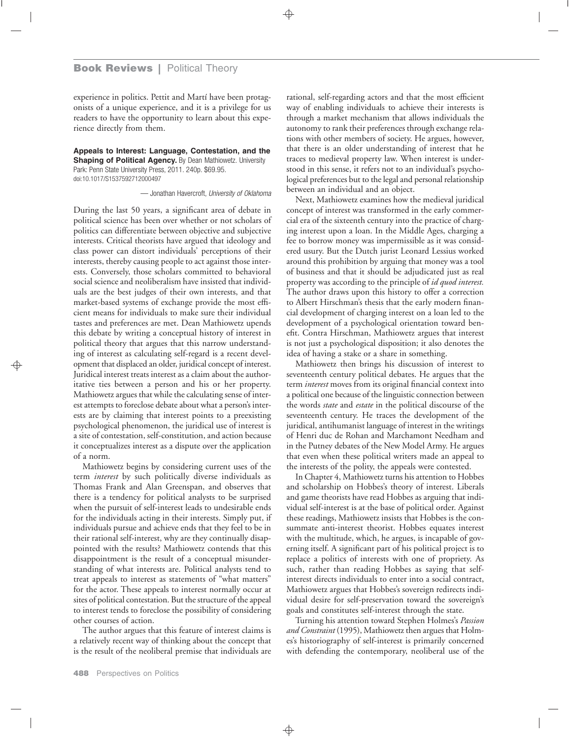experience in politics. Pettit and Martí have been protagonists of a unique experience, and it is a privilege for us readers to have the opportunity to learn about this experience directly from them.

**Appeals to Interest: Language, Contestation, and the Shaping of Political Agency.** By Dean Mathiowetz. University Park: Penn State University Press, 2011. 240p. \$69.95. doi:10.1017/S1537592712000497

— Jonathan Havercroft, *University of Oklahoma*

During the last 50 years, a significant area of debate in political science has been over whether or not scholars of politics can differentiate between objective and subjective interests. Critical theorists have argued that ideology and class power can distort individuals' perceptions of their interests, thereby causing people to act against those interests. Conversely, those scholars committed to behavioral social science and neoliberalism have insisted that individuals are the best judges of their own interests, and that market-based systems of exchange provide the most efficient means for individuals to make sure their individual tastes and preferences are met. Dean Mathiowetz upends this debate by writing a conceptual history of interest in political theory that argues that this narrow understanding of interest as calculating self-regard is a recent development that displaced an older, juridical concept of interest. Juridical interest treats interest as a claim about the authoritative ties between a person and his or her property. Mathiowetz argues that while the calculating sense of interest attempts to foreclose debate about what a person's interests are by claiming that interest points to a preexisting psychological phenomenon, the juridical use of interest is a site of contestation, self-constitution, and action because it conceptualizes interest as a dispute over the application of a norm.

Mathiowetz begins by considering current uses of the term *interest* by such politically diverse individuals as Thomas Frank and Alan Greenspan, and observes that there is a tendency for political analysts to be surprised when the pursuit of self-interest leads to undesirable ends for the individuals acting in their interests. Simply put, if individuals pursue and achieve ends that they feel to be in their rational self-interest, why are they continually disappointed with the results? Mathiowetz contends that this disappointment is the result of a conceptual misunderstanding of what interests are. Political analysts tend to treat appeals to interest as statements of "what matters" for the actor. These appeals to interest normally occur at sites of political contestation. But the structure of the appeal to interest tends to foreclose the possibility of considering other courses of action.

The author argues that this feature of interest claims is a relatively recent way of thinking about the concept that is the result of the neoliberal premise that individuals are rational, self-regarding actors and that the most efficient way of enabling individuals to achieve their interests is through a market mechanism that allows individuals the autonomy to rank their preferences through exchange relations with other members of society. He argues, however, that there is an older understanding of interest that he traces to medieval property law. When interest is understood in this sense, it refers not to an individual's psychological preferences but to the legal and personal relationship between an individual and an object.

Next, Mathiowetz examines how the medieval juridical concept of interest was transformed in the early commercial era of the sixteenth century into the practice of charging interest upon a loan. In the Middle Ages, charging a fee to borrow money was impermissible as it was considered usury. But the Dutch jurist Leonard Lessius worked around this prohibition by arguing that money was a tool of business and that it should be adjudicated just as real property was according to the principle of *id quod interest.* The author draws upon this history to offer a correction to Albert Hirschman's thesis that the early modern financial development of charging interest on a loan led to the development of a psychological orientation toward benefit. Contra Hirschman, Mathiowetz argues that interest is not just a psychological disposition; it also denotes the idea of having a stake or a share in something.

Mathiowetz then brings his discussion of interest to seventeenth century political debates. He argues that the term *interest* moves from its original financial context into a political one because of the linguistic connection between the words *state* and *estate* in the political discourse of the seventeenth century. He traces the development of the juridical, antihumanist language of interest in the writings of Henri duc de Rohan and Marchamont Needham and in the Putney debates of the New Model Army. He argues that even when these political writers made an appeal to the interests of the polity, the appeals were contested.

In Chapter 4, Mathiowetz turns his attention to Hobbes and scholarship on Hobbes's theory of interest. Liberals and game theorists have read Hobbes as arguing that individual self-interest is at the base of political order. Against these readings, Mathiowetz insists that Hobbes is the consummate anti-interest theorist. Hobbes equates interest with the multitude, which, he argues, is incapable of governing itself. A significant part of his political project is to replace a politics of interests with one of propriety. As such, rather than reading Hobbes as saying that selfinterest directs individuals to enter into a social contract, Mathiowetz argues that Hobbes's sovereign redirects individual desire for self-preservation toward the sovereign's goals and constitutes self-interest through the state.

Turning his attention toward Stephen Holmes's *Passion and Constraint* (1995), Mathiowetz then argues that Holmes's historiography of self-interest is primarily concerned with defending the contemporary, neoliberal use of the